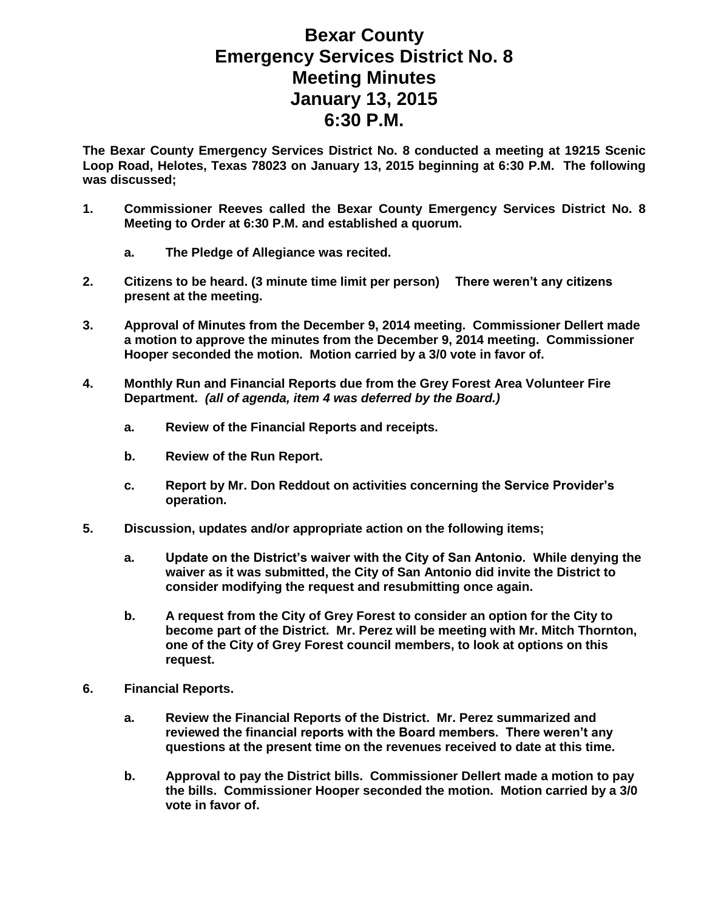## **Bexar County Emergency Services District No. 8 Meeting Minutes January 13, 2015 6:30 P.M.**

**The Bexar County Emergency Services District No. 8 conducted a meeting at 19215 Scenic Loop Road, Helotes, Texas 78023 on January 13, 2015 beginning at 6:30 P.M. The following was discussed;**

- **1. Commissioner Reeves called the Bexar County Emergency Services District No. 8 Meeting to Order at 6:30 P.M. and established a quorum.** 
	- **a. The Pledge of Allegiance was recited.**
- **2. Citizens to be heard. (3 minute time limit per person) There weren't any citizens present at the meeting.**
- **3. Approval of Minutes from the December 9, 2014 meeting. Commissioner Dellert made a motion to approve the minutes from the December 9, 2014 meeting. Commissioner Hooper seconded the motion. Motion carried by a 3/0 vote in favor of.**
- **4. Monthly Run and Financial Reports due from the Grey Forest Area Volunteer Fire Department.** *(all of agenda, item 4 was deferred by the Board.)*
	- **a. Review of the Financial Reports and receipts.**
	- **b. Review of the Run Report.**
	- **c. Report by Mr. Don Reddout on activities concerning the Service Provider's operation.**
- **5. Discussion, updates and/or appropriate action on the following items;**
	- **a. Update on the District's waiver with the City of San Antonio. While denying the waiver as it was submitted, the City of San Antonio did invite the District to consider modifying the request and resubmitting once again.**
	- **b. A request from the City of Grey Forest to consider an option for the City to become part of the District. Mr. Perez will be meeting with Mr. Mitch Thornton, one of the City of Grey Forest council members, to look at options on this request.**
- **6. Financial Reports.**
	- **a. Review the Financial Reports of the District. Mr. Perez summarized and reviewed the financial reports with the Board members. There weren't any questions at the present time on the revenues received to date at this time.**
	- **b. Approval to pay the District bills. Commissioner Dellert made a motion to pay the bills. Commissioner Hooper seconded the motion. Motion carried by a 3/0 vote in favor of.**